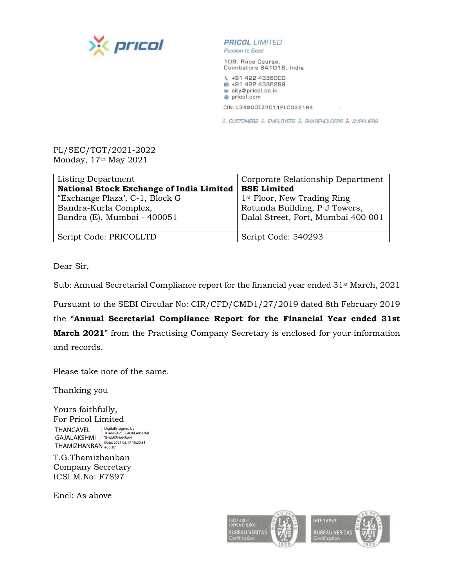



Passion to Excel

109, Race Course, Coimbatore 641018, India

₹ +91 422 4336000 ■ +91 422 4336299 city@pricol.co.in · pricol.com

CIN: L34200TZ2011PLC022194

À CUSTOMERS À EMPLOYEES À SHAREHOLDERS À SUPPLIERS

## PL/SEC/TGT/2021-2022 Monday, 17th May 2021

| Listing Department<br><b>National Stock Exchange of India Limited</b><br>"Exchange Plaza', C-1, Block G<br>Bandra-Kurla Complex,<br>Bandra (E), Mumbai - 400051 | Corporate Relationship Department<br><b>BSE Limited</b><br>1 <sup>st</sup> Floor, New Trading Ring<br>Rotunda Building, P J Towers,<br>Dalal Street, Fort, Mumbai 400 001 |
|-----------------------------------------------------------------------------------------------------------------------------------------------------------------|---------------------------------------------------------------------------------------------------------------------------------------------------------------------------|
|                                                                                                                                                                 |                                                                                                                                                                           |
| Script Code: PRICOLLTD                                                                                                                                          | Script Code: 540293                                                                                                                                                       |

Dear Sir,

Sub: Annual Secretarial Compliance report for the financial year ended 31st March, 2021

Pursuant to the SEBI Circular No: CIR/CFD/CMD1/27/2019 dated 8th February 2019

the "**Annual Secretarial Compliance Report for the Financial Year ended 31st March 2021**" from the Practising Company Secretary is enclosed for your information and records.

Please take note of the same.

Thanking you

Yours faithfully, For Pricol Limited THANGAVEL GAJALAKSHMI THAMIZHANBAN Digitally signed by<br>THANGAVEL GAJALAKSHMI<br>THAMIZHANBAN<br>Date: 2021.05.17 15:20:51<br>+05'30'

T.G.Thamizhanban Company Secretary ICSI M.No: F7897

Encl: As above

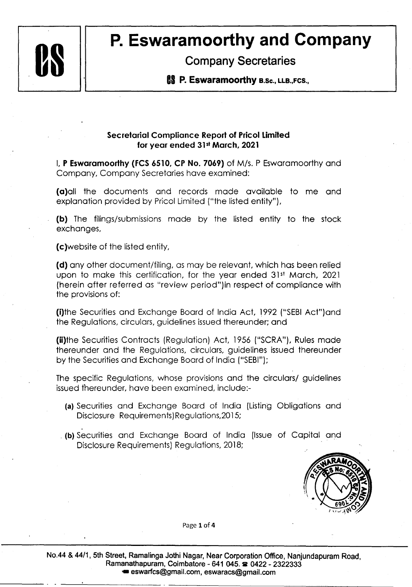

## **P. Eswaramoorthy and Company Company Secretaries**

Company Secretaries

**88 P. Eswaramoorthy e.sc., LLB.,Fcs.,** 

## **Secretarial Compliance Report of Pricol Limited for year ended 31 st March, 2021**

I, **P Eswaramoorthy (FCS 6510, CP No. 7069)** of M/s. P Eswaramoorthy and Company, Company Secretaries have examined:

( **a)all** the documents and records made available to me and explanation provided by Pricol Limited ("the listed entity"),

**(b)** The filings/submissions made by the listed entity to the stock exchanges,

(c)website of the listed entity,

**(d)** any other document/filing, as may be relevant, which has been relied upon to make this certification, for the year ended 31<sup>st</sup> March, 2021 (herein after referred as "review period")in respect of compliance with the provisions of:

(i)the Securities and Exchange Board of India Act, 1992 ("SEBI Act")and the Regulations, circulars, guidelines issued thereunder; and

(ii)the Securities Contracts (Regulation) Act, 1956 ("SCRA"), Rules made thereunder and the Regulations, circulars, guidelines issued thereunder by the Securities and Exchange Board of India ("SEBI");

The specific Regulations, whose provisions and the circulars/ guidelines issued thereunder, have been examined, include:-

- **(a)** Securities and Exchange Board of India (Listing Obligations and Disclosure Requirements) Regulations,2015;
- . **(b)** Securities and Exchange Board of India (Issue of Capital and Disclosure Requirements) Regulations, 2018;



Page **1** of **4** 

**No.44** & **44/1, 5th Street, Ramalinga Jothi Nagar, Near Corporation Office, Nanjundapuram Road, Ramanathapuram, Coimbatore** - **641 045. a 0422** - **2322333**  • **eswarfcs@gmail.com, eswaracs@gmail.com**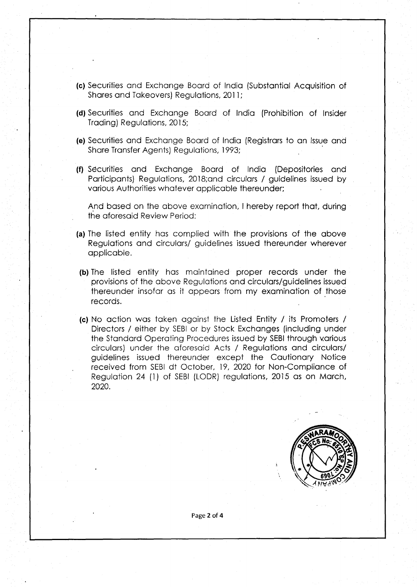- **(c)** Securities and Exchange Board of India (Substantial Acquisition of Shares and Takeovers) Regulations, 2011;
- **(d)** Securities and Exchange Board of India (Prohibition of Insider Trading) Regulations, 2015;
- **(e)** Securities and Exchange Board of India (Registrars to an Issue and Share Transfer Agents) Regulations, 1993;
- **(f)** Securities and Exchange Board of India (Depositories and Participants) Regulations, 2018;and circulars / guidelines issued by various Authorities whatever applicable thereunder;

And based on the above examination, I hereby report that, during the aforesaid Review Period:

- **(a)** The listed entity has complied with the provisions of the above Regulations and circulars/ guidelines issued thereunder wherever applicable.
- **(b)** The listed entity has maintained proper records under the provisions of the above Regulations and circulars/guidelines issued thereunder insofar as it appears from my examination of those records.
- **(c)** No action was taken against the Listed Entity / its Promoters / Directors / either by SEBI or by Stock Exchanges (including under the Standard Operating Procedures issued by SEBI through various circulars) under the aforesaid Acts / Regulations and circulars/ guidelines issued thereunder except the Cautionary Notice received from SEBI dt October, 19, 2020 for Non-Compliance of Regulation 24 (1) of SEBI (LODR) regulations, 2015 as on March, 2020.



**Page2of4**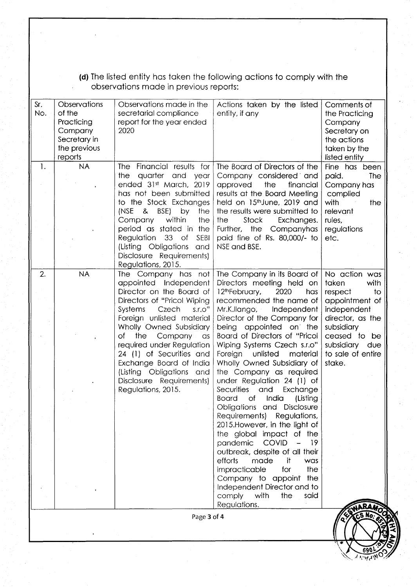(d) The listed entity has taken the following actions to comply with the observations made in previous reports:

|                | Company<br>Secretary in<br>the previous<br>reports | report for the year ended<br>2020                                                                                                                                                                                                                                                                                                                                                                             |                                                                                                                                                                                                                                                                                                                                                                                                                                                                                                                                                                                                                                                                                                                                                                                                                                                                | the Practicing<br>Company<br>Secretary on<br>the actions<br>taken by the<br>listed entity                                                                                                      |
|----------------|----------------------------------------------------|---------------------------------------------------------------------------------------------------------------------------------------------------------------------------------------------------------------------------------------------------------------------------------------------------------------------------------------------------------------------------------------------------------------|----------------------------------------------------------------------------------------------------------------------------------------------------------------------------------------------------------------------------------------------------------------------------------------------------------------------------------------------------------------------------------------------------------------------------------------------------------------------------------------------------------------------------------------------------------------------------------------------------------------------------------------------------------------------------------------------------------------------------------------------------------------------------------------------------------------------------------------------------------------|------------------------------------------------------------------------------------------------------------------------------------------------------------------------------------------------|
| 1.             | <b>NA</b>                                          | Financial results for<br><b>The</b><br>quarter and<br>the<br>year<br>ended 31st March, 2019<br>has not been submitted<br>to the Stock Exchanges<br>by<br>(NSE<br>& BSE)<br>the<br>Company within<br>the<br>period as stated in the<br>Regulation 33 of<br><b>SEBI</b><br>(Listing Obligations<br>and<br>Disclosure Requirements)<br>Regulations, 2015.                                                        | The Board of Directors of the<br>Company considered and<br>approved<br>the<br>financial<br>results at the Board Meeting<br>held on 15th June, 2019 and<br>the results were submitted to<br>Stock<br>the<br>Exchanges.<br>Further, the Companyhas<br>paid fine of Rs. 80,000/- to<br>NSE and BSE.                                                                                                                                                                                                                                                                                                                                                                                                                                                                                                                                                               | Fine has been<br>paid.<br><b>The</b><br>Company has<br>complied<br>with<br>the<br>relevant<br>rules,<br>regulations<br>etc.                                                                    |
| $\mathbf{2}$ . | <b>NA</b>                                          | The Company has not<br>appointed Independent<br>Director on the Board of<br>Directors of "Pricol Wiping<br>Systems<br>Czech<br>S.I.O''<br>Foreign unlisted material<br>Wholly Owned Subsidiary<br>the<br>Company as<br>оf<br>required under Regulation<br>24 (1) of Securities and<br>Exchange Board of India<br>(Listing Obligations<br>and<br>Disclosure Requirements)<br>Regulations, 2015.<br>Page 3 of 4 | The Company in its Board of<br>Directors meeting held on<br>12thFebruary,<br>2020<br>has<br>recommended the name of<br>Mr.K.Ilango,<br>Independent<br>Director of the Company for<br>being appointed on the<br>Board of Directors of "Pricol<br>Wiping Systems Czech s.r.o"<br>Foreign<br>unlisted<br>material<br>Wholly Owned Subsidiary of<br>the Company as required<br>under Regulation 24 (1) of<br>Securities<br>and<br>Exchange<br>India<br><b>Board</b><br>of<br>(Listing<br>Obligations and Disclosure<br>Regulations,<br>Requirements)<br>2015. However, in the light of<br>the global impact of the<br>pandemic<br><b>COVID</b><br>19<br>outbreak, despite of all their<br>efforts<br>it<br>made<br>was<br>the<br>impracticable<br>for<br>Company to appoint<br>the<br>Independent Director and to<br>comply<br>with<br>the<br>said<br>Regulations. | No action was<br>taken<br>with<br>$\mathsf{to}$<br>respect<br>appointment of<br>independent<br>director, as the<br>subsidiary<br>ceased to be<br>subsidiary due<br>to sale of entire<br>stake. |